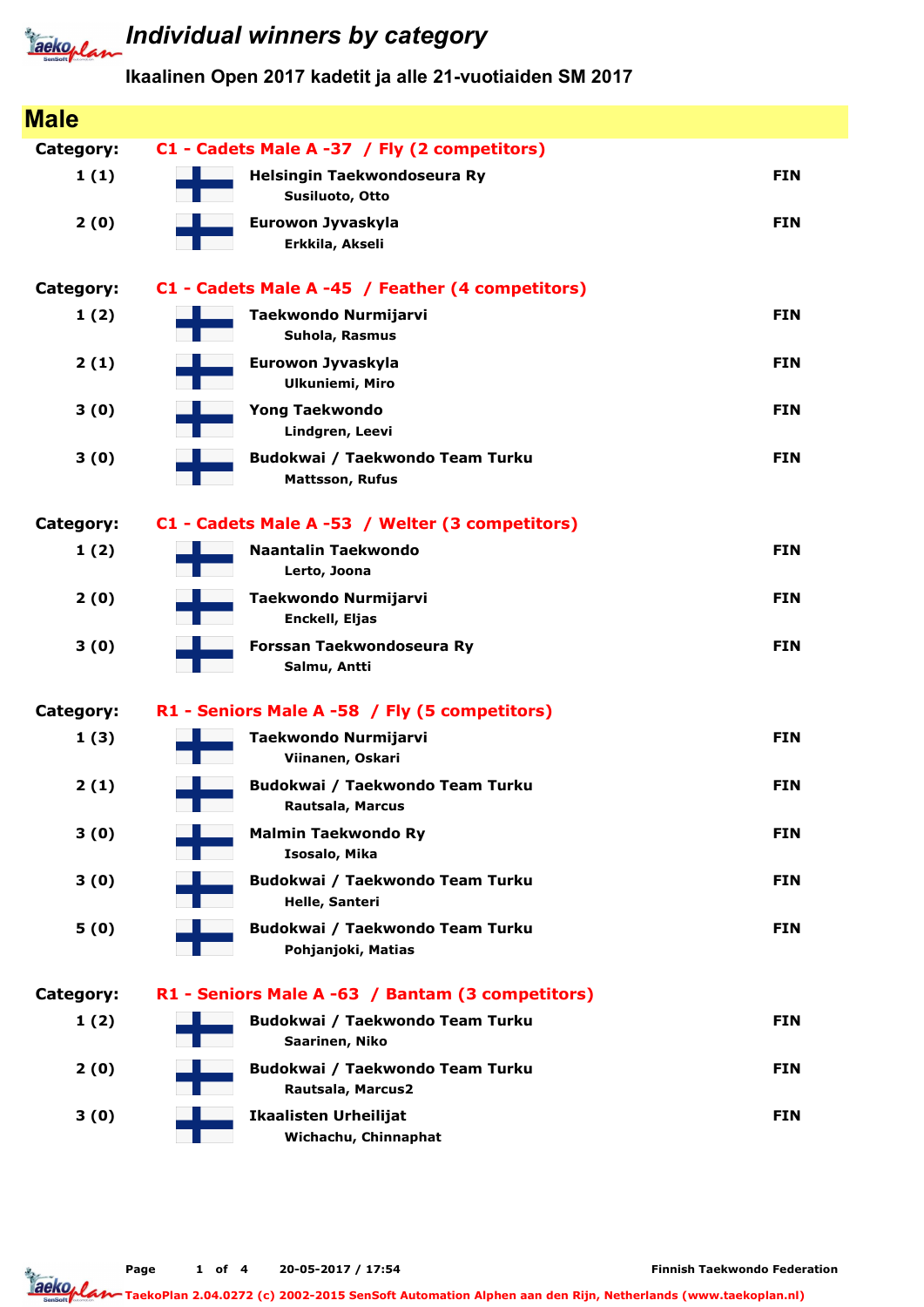

# **Tackoplan** Individual winners by category

| <b>Male</b>      |                                                           |            |
|------------------|-----------------------------------------------------------|------------|
| <b>Category:</b> | C1 - Cadets Male A -37 / Fly (2 competitors)              |            |
| 1(1)             | Helsingin Taekwondoseura Ry<br>Susiluoto, Otto            | <b>FIN</b> |
| 2(0)             | Eurowon Jyvaskyla<br>Erkkila, Akseli                      | <b>FIN</b> |
| Category:        | C1 - Cadets Male A -45 / Feather (4 competitors)          |            |
| 1(2)             | Taekwondo Nurmijarvi<br>Suhola, Rasmus                    | <b>FIN</b> |
| 2(1)             | Eurowon Jyvaskyla<br><b>Ulkuniemi, Miro</b>               | <b>FIN</b> |
| 3(0)             | <b>Yong Taekwondo</b><br>Lindgren, Leevi                  | <b>FIN</b> |
| 3(0)             | Budokwai / Taekwondo Team Turku<br><b>Mattsson, Rufus</b> | <b>FIN</b> |
| <b>Category:</b> | C1 - Cadets Male A -53 / Welter (3 competitors)           |            |
| 1(2)             | <b>Naantalin Taekwondo</b><br>Lerto, Joona                | <b>FIN</b> |
| 2(0)             | Taekwondo Nurmijarvi<br>Enckell, Eljas                    | <b>FIN</b> |
| 3(0)             | Forssan Taekwondoseura Ry<br>Salmu, Antti                 | <b>FIN</b> |
| <b>Category:</b> | R1 - Seniors Male A -58 / Fly (5 competitors)             |            |
| 1(3)             | Taekwondo Nurmijarvi<br>Viinanen, Oskari                  | <b>FIN</b> |
| 2(1)             | Budokwai / Taekwondo Team Turku<br>Rautsala, Marcus       | <b>FIN</b> |
| 3(0)             | <b>Malmin Taekwondo Ry</b><br>Isosalo, Mika               | <b>FIN</b> |
| 3(0)             | Budokwai / Taekwondo Team Turku<br>Helle, Santeri         | <b>FIN</b> |
| 5(0)             | Budokwai / Taekwondo Team Turku<br>Pohjanjoki, Matias     | <b>FIN</b> |
| Category:        | R1 - Seniors Male A -63 / Bantam (3 competitors)          |            |
| 1(2)             | Budokwai / Taekwondo Team Turku<br>Saarinen, Niko         | <b>FIN</b> |
| 2(0)             | Budokwai / Taekwondo Team Turku<br>Rautsala, Marcus2      | <b>FIN</b> |
| 3(0)             | <b>Ikaalisten Urheilijat</b><br>Wichachu, Chinnaphat      | <b>FIN</b> |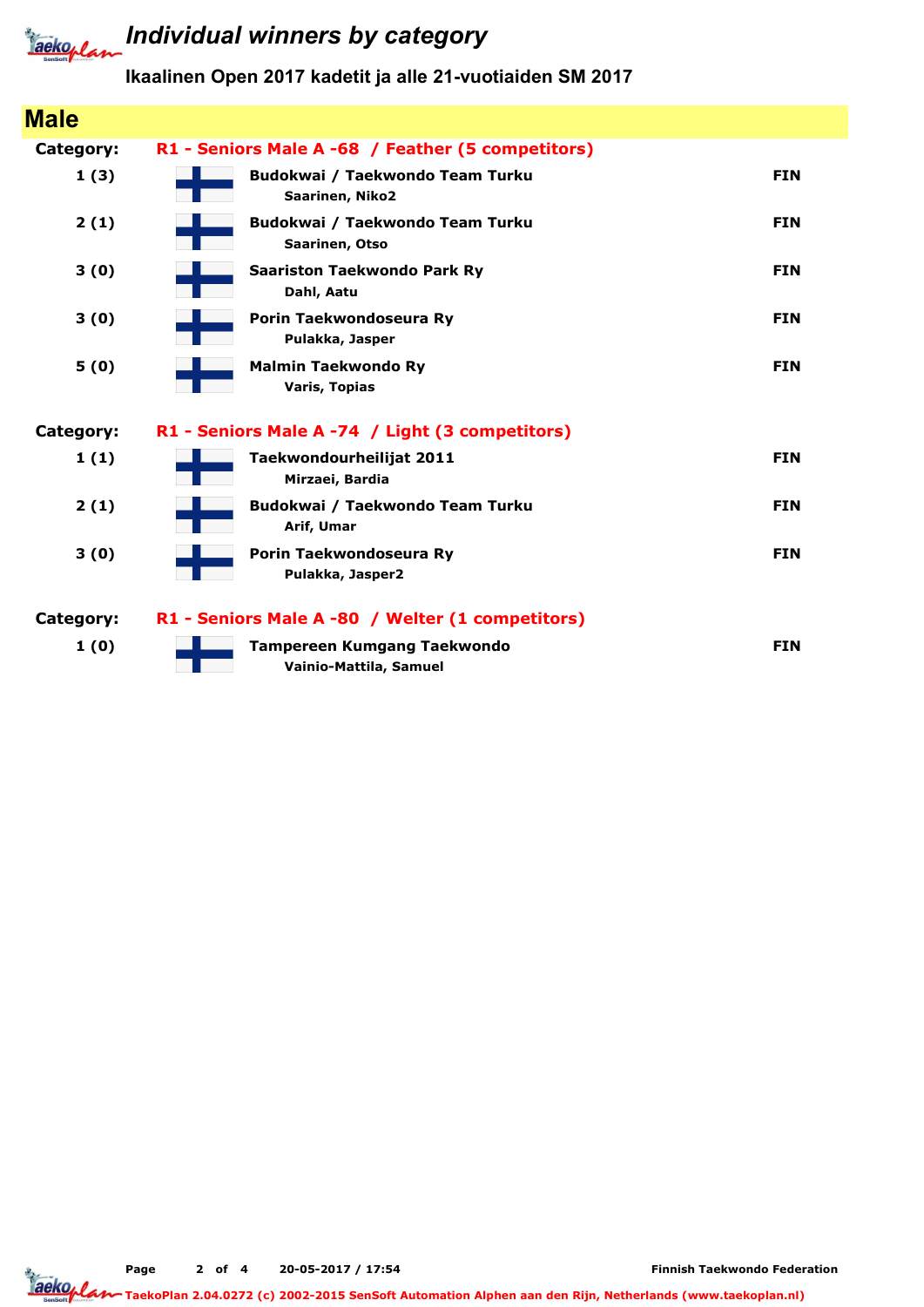

### **Individual winners by category**

| <b>Male</b> |                                                              |            |
|-------------|--------------------------------------------------------------|------------|
| Category:   | R1 - Seniors Male A -68 / Feather (5 competitors)            |            |
| 1(3)        | Budokwai / Taekwondo Team Turku<br>Saarinen, Niko2           | <b>FIN</b> |
| 2(1)        | Budokwai / Taekwondo Team Turku<br>Saarinen, Otso            | <b>FIN</b> |
| 3(0)        | <b>Saariston Taekwondo Park Ry</b><br>Dahl, Aatu             | <b>FIN</b> |
| 3(0)        | Porin Taekwondoseura Ry<br>Pulakka, Jasper                   | <b>FIN</b> |
| 5(0)        | <b>Malmin Taekwondo Ry</b><br><b>Varis, Topias</b>           | <b>FIN</b> |
| Category:   | R1 - Seniors Male A -74 / Light (3 competitors)              |            |
| 1(1)        | Taekwondourheilijat 2011<br>Mirzaei, Bardia                  | <b>FIN</b> |
| 2(1)        | Budokwai / Taekwondo Team Turku<br>Arif, Umar                | <b>FIN</b> |
| 3(0)        | Porin Taekwondoseura Ry<br>Pulakka, Jasper2                  | <b>FIN</b> |
| Category:   | R1 - Seniors Male A -80 / Welter (1 competitors)             |            |
| 1(0)        | <b>Tampereen Kumgang Taekwondo</b><br>Vainio-Mattila, Samuel | <b>FIN</b> |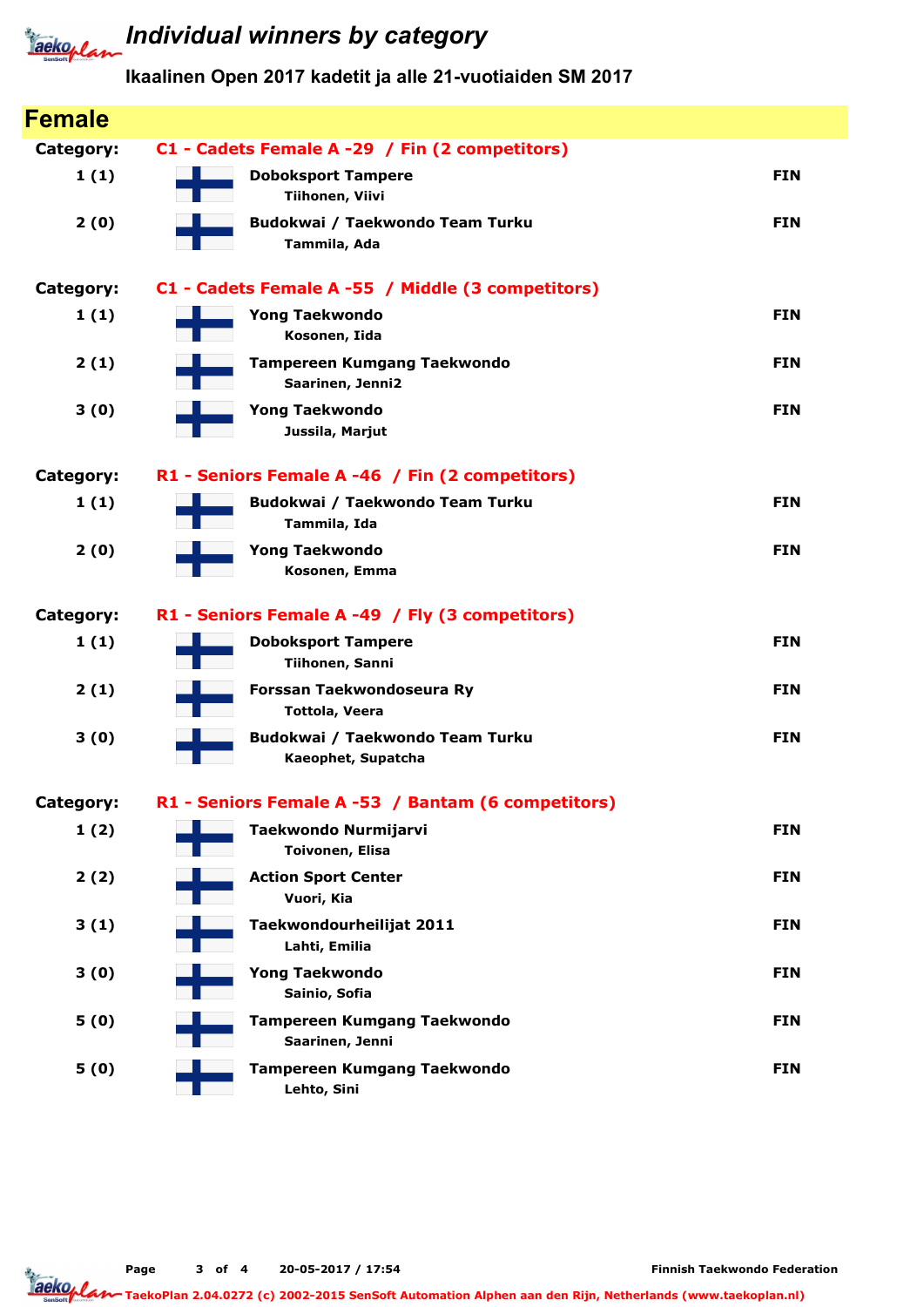

# **Tackoplan** Individual winners by category

| <b>Female</b> |                                                        |            |
|---------------|--------------------------------------------------------|------------|
| Category:     | C1 - Cadets Female A -29 / Fin (2 competitors)         |            |
| 1(1)          | <b>Doboksport Tampere</b><br>Tiihonen, Viivi           | <b>FIN</b> |
| 2(0)          | Budokwai / Taekwondo Team Turku<br>Tammila, Ada        | <b>FIN</b> |
| Category:     | C1 - Cadets Female A -55 / Middle (3 competitors)      |            |
| 1(1)          | <b>Yong Taekwondo</b><br>Kosonen, Iida                 | <b>FIN</b> |
| 2(1)          | <b>Tampereen Kumgang Taekwondo</b><br>Saarinen, Jenni2 | <b>FIN</b> |
| 3(0)          | <b>Yong Taekwondo</b><br>Jussila, Marjut               | <b>FIN</b> |
| Category:     | R1 - Seniors Female A -46 / Fin (2 competitors)        |            |
| 1(1)          | Budokwai / Taekwondo Team Turku<br>Tammila, Ida        | <b>FIN</b> |
| 2(0)          | <b>Yong Taekwondo</b><br>Kosonen, Emma                 | <b>FIN</b> |
| Category:     | R1 - Seniors Female A -49 / Fly (3 competitors)        |            |
| 1(1)          | <b>Doboksport Tampere</b><br>Tiihonen, Sanni           | <b>FIN</b> |
| 2(1)          | Forssan Taekwondoseura Ry<br><b>Tottola, Veera</b>     | <b>FIN</b> |
| 3(0)          | Budokwai / Taekwondo Team Turku<br>Kaeophet, Supatcha  | <b>FIN</b> |
| Category:     | R1 - Seniors Female A -53 / Bantam (6 competitors)     |            |
| 1(2)          | Taekwondo Nurmijarvi<br><b>Toivonen, Elisa</b>         | <b>FIN</b> |
| 2(2)          | <b>Action Sport Center</b><br>Vuori, Kia               | <b>FIN</b> |
| 3(1)          | Taekwondourheilijat 2011<br>Lahti, Emilia              | <b>FIN</b> |
| 3(0)          | <b>Yong Taekwondo</b><br>Sainio, Sofia                 | <b>FIN</b> |
| 5(0)          | <b>Tampereen Kumgang Taekwondo</b><br>Saarinen, Jenni  | <b>FIN</b> |
| 5(0)          | <b>Tampereen Kumgang Taekwondo</b><br>Lehto, Sini      | <b>FIN</b> |